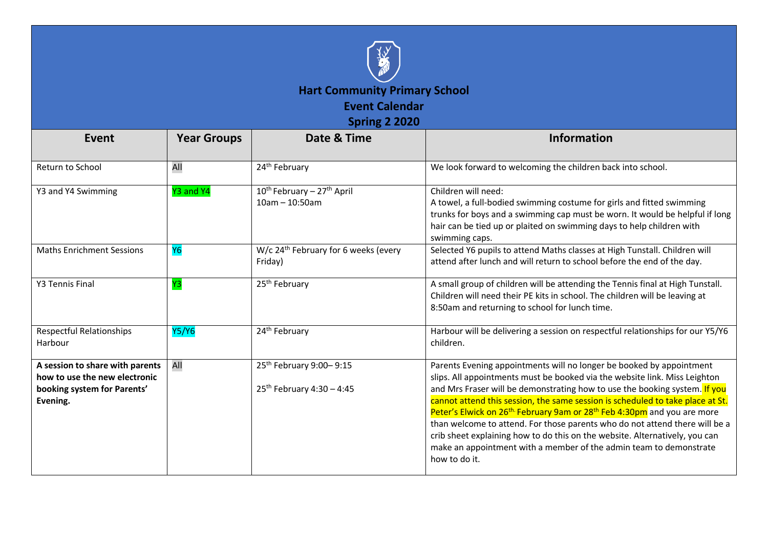

| Event                                                                                                       | <b>Year Groups</b> | Date & Time                                                            | <b>Information</b>                                                                                                                                                                                                                                                                                                                                                                                                                                                                                                                                                                                                                                                          |
|-------------------------------------------------------------------------------------------------------------|--------------------|------------------------------------------------------------------------|-----------------------------------------------------------------------------------------------------------------------------------------------------------------------------------------------------------------------------------------------------------------------------------------------------------------------------------------------------------------------------------------------------------------------------------------------------------------------------------------------------------------------------------------------------------------------------------------------------------------------------------------------------------------------------|
| Return to School                                                                                            | All                | 24 <sup>th</sup> February                                              | We look forward to welcoming the children back into school.                                                                                                                                                                                                                                                                                                                                                                                                                                                                                                                                                                                                                 |
| Y3 and Y4 Swimming                                                                                          | Y3 and Y4          | 10 <sup>th</sup> February - 27 <sup>th</sup> April<br>$10am - 10:50am$ | Children will need:<br>A towel, a full-bodied swimming costume for girls and fitted swimming<br>trunks for boys and a swimming cap must be worn. It would be helpful if long<br>hair can be tied up or plaited on swimming days to help children with<br>swimming caps.                                                                                                                                                                                                                                                                                                                                                                                                     |
| <b>Maths Enrichment Sessions</b>                                                                            | <b>Y6</b>          | W/c 24 <sup>th</sup> February for 6 weeks (every<br>Friday)            | Selected Y6 pupils to attend Maths classes at High Tunstall. Children will<br>attend after lunch and will return to school before the end of the day.                                                                                                                                                                                                                                                                                                                                                                                                                                                                                                                       |
| <b>Y3 Tennis Final</b>                                                                                      | Y3                 | 25 <sup>th</sup> February                                              | A small group of children will be attending the Tennis final at High Tunstall.<br>Children will need their PE kits in school. The children will be leaving at<br>8:50am and returning to school for lunch time.                                                                                                                                                                                                                                                                                                                                                                                                                                                             |
| Respectful Relationships<br>Harbour                                                                         | <b>Y5/Y6</b>       | 24 <sup>th</sup> February                                              | Harbour will be delivering a session on respectful relationships for our Y5/Y6<br>children.                                                                                                                                                                                                                                                                                                                                                                                                                                                                                                                                                                                 |
| A session to share with parents<br>how to use the new electronic<br>booking system for Parents'<br>Evening. | All                | 25 <sup>th</sup> February 9:00-9:15<br>$25^{th}$ February 4:30 - 4:45  | Parents Evening appointments will no longer be booked by appointment<br>slips. All appointments must be booked via the website link. Miss Leighton<br>and Mrs Fraser will be demonstrating how to use the booking system. If you<br>cannot attend this session, the same session is scheduled to take place at St.<br>Peter's Elwick on 26 <sup>th.</sup> February 9am or 28 <sup>th</sup> Feb 4:30pm and you are more<br>than welcome to attend. For those parents who do not attend there will be a<br>crib sheet explaining how to do this on the website. Alternatively, you can<br>make an appointment with a member of the admin team to demonstrate<br>how to do it. |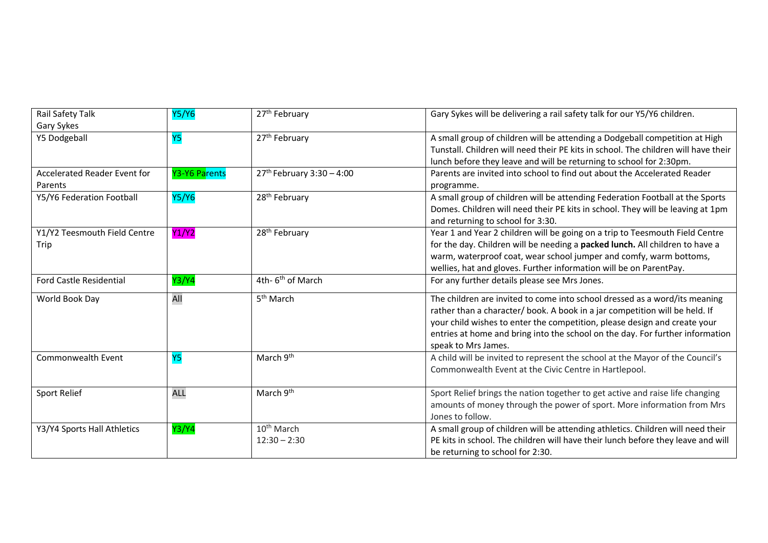| Rail Safety Talk                               | Y5/Y6         | 27 <sup>th</sup> February                | Gary Sykes will be delivering a rail safety talk for our Y5/Y6 children.                                                                                                                                                                                                                                                                       |
|------------------------------------------------|---------------|------------------------------------------|------------------------------------------------------------------------------------------------------------------------------------------------------------------------------------------------------------------------------------------------------------------------------------------------------------------------------------------------|
| Gary Sykes                                     |               |                                          |                                                                                                                                                                                                                                                                                                                                                |
| Y5 Dodgeball                                   | <b>Y5</b>     | 27 <sup>th</sup> February                | A small group of children will be attending a Dodgeball competition at High<br>Tunstall. Children will need their PE kits in school. The children will have their<br>lunch before they leave and will be returning to school for 2:30pm.                                                                                                       |
| <b>Accelerated Reader Event for</b><br>Parents | Y3-Y6 Parents | $27^{th}$ February 3:30 - 4:00           | Parents are invited into school to find out about the Accelerated Reader<br>programme.                                                                                                                                                                                                                                                         |
| Y5/Y6 Federation Football                      | <b>Y5/Y6</b>  | 28 <sup>th</sup> February                | A small group of children will be attending Federation Football at the Sports<br>Domes. Children will need their PE kits in school. They will be leaving at 1pm<br>and returning to school for 3:30.                                                                                                                                           |
| Y1/Y2 Teesmouth Field Centre<br>Trip           | <b>Y1/Y2</b>  | 28 <sup>th</sup> February                | Year 1 and Year 2 children will be going on a trip to Teesmouth Field Centre<br>for the day. Children will be needing a packed lunch. All children to have a<br>warm, waterproof coat, wear school jumper and comfy, warm bottoms,<br>wellies, hat and gloves. Further information will be on ParentPay.                                       |
| <b>Ford Castle Residential</b>                 | Y3/Y4         | 4th- 6 <sup>th</sup> of March            | For any further details please see Mrs Jones.                                                                                                                                                                                                                                                                                                  |
| World Book Day                                 | All           | 5 <sup>th</sup> March                    | The children are invited to come into school dressed as a word/its meaning<br>rather than a character/ book. A book in a jar competition will be held. If<br>your child wishes to enter the competition, please design and create your<br>entries at home and bring into the school on the day. For further information<br>speak to Mrs James. |
| Commonwealth Event                             | <b>Y5</b>     | March 9 <sup>th</sup>                    | A child will be invited to represent the school at the Mayor of the Council's<br>Commonwealth Event at the Civic Centre in Hartlepool.                                                                                                                                                                                                         |
| <b>Sport Relief</b>                            | <b>ALL</b>    | March 9 <sup>th</sup>                    | Sport Relief brings the nation together to get active and raise life changing<br>amounts of money through the power of sport. More information from Mrs<br>Jones to follow.                                                                                                                                                                    |
| Y3/Y4 Sports Hall Athletics                    | Y3/Y4         | 10 <sup>th</sup> March<br>$12:30 - 2:30$ | A small group of children will be attending athletics. Children will need their<br>PE kits in school. The children will have their lunch before they leave and will<br>be returning to school for 2:30.                                                                                                                                        |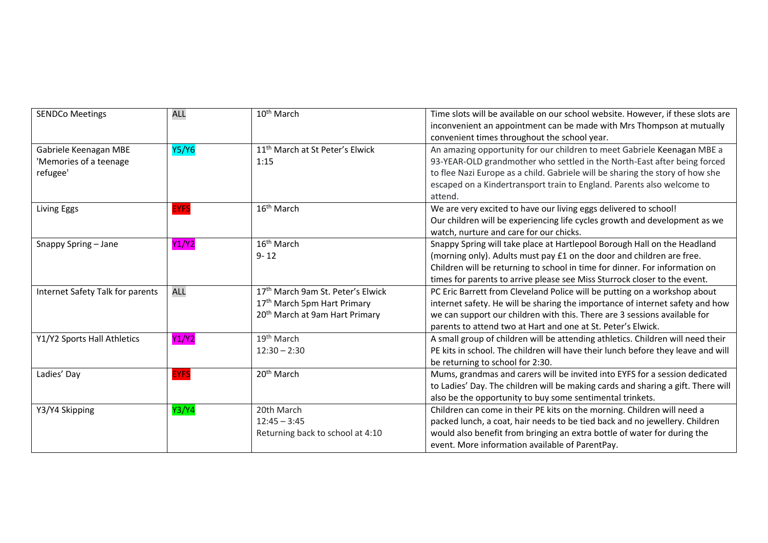| <b>SENDCo Meetings</b>                                      | <b>ALL</b>   | 10 <sup>th</sup> March                                                                                                     | Time slots will be available on our school website. However, if these slots are<br>inconvenient an appointment can be made with Mrs Thompson at mutually<br>convenient times throughout the school year.                                                                                                                  |
|-------------------------------------------------------------|--------------|----------------------------------------------------------------------------------------------------------------------------|---------------------------------------------------------------------------------------------------------------------------------------------------------------------------------------------------------------------------------------------------------------------------------------------------------------------------|
| Gabriele Keenagan MBE<br>'Memories of a teenage<br>refugee' | <b>Y5/Y6</b> | 11 <sup>th</sup> March at St Peter's Elwick<br>1:15                                                                        | An amazing opportunity for our children to meet Gabriele Keenagan MBE a<br>93-YEAR-OLD grandmother who settled in the North-East after being forced<br>to flee Nazi Europe as a child. Gabriele will be sharing the story of how she<br>escaped on a Kindertransport train to England. Parents also welcome to<br>attend. |
| Living Eggs                                                 | <b>EYFS</b>  | 16 <sup>th</sup> March                                                                                                     | We are very excited to have our living eggs delivered to school!<br>Our children will be experiencing life cycles growth and development as we<br>watch, nurture and care for our chicks.                                                                                                                                 |
| Snappy Spring - Jane                                        | Y1/Y2        | 16 <sup>th</sup> March<br>$9 - 12$                                                                                         | Snappy Spring will take place at Hartlepool Borough Hall on the Headland<br>(morning only). Adults must pay £1 on the door and children are free.<br>Children will be returning to school in time for dinner. For information on<br>times for parents to arrive please see Miss Sturrock closer to the event.             |
| Internet Safety Talk for parents                            | <b>ALL</b>   | 17th March 9am St. Peter's Elwick<br>17 <sup>th</sup> March 5pm Hart Primary<br>20 <sup>th</sup> March at 9am Hart Primary | PC Eric Barrett from Cleveland Police will be putting on a workshop about<br>internet safety. He will be sharing the importance of internet safety and how<br>we can support our children with this. There are 3 sessions available for<br>parents to attend two at Hart and one at St. Peter's Elwick.                   |
| Y1/Y2 Sports Hall Athletics                                 | Y1/Y2        | 19 <sup>th</sup> March<br>$12:30 - 2:30$                                                                                   | A small group of children will be attending athletics. Children will need their<br>PE kits in school. The children will have their lunch before they leave and will<br>be returning to school for 2:30.                                                                                                                   |
| Ladies' Day                                                 | <b>EYFS</b>  | 20 <sup>th</sup> March                                                                                                     | Mums, grandmas and carers will be invited into EYFS for a session dedicated<br>to Ladies' Day. The children will be making cards and sharing a gift. There will<br>also be the opportunity to buy some sentimental trinkets.                                                                                              |
| Y3/Y4 Skipping                                              | Y3/Y4        | 20th March<br>$12:45 - 3:45$<br>Returning back to school at 4:10                                                           | Children can come in their PE kits on the morning. Children will need a<br>packed lunch, a coat, hair needs to be tied back and no jewellery. Children<br>would also benefit from bringing an extra bottle of water for during the<br>event. More information available of ParentPay.                                     |